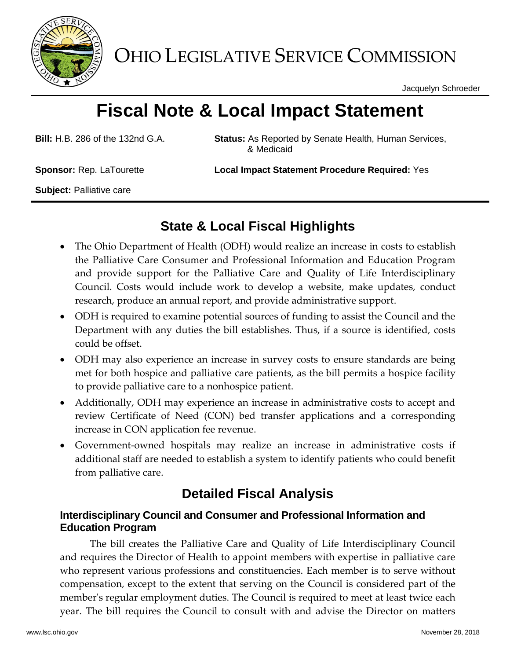

OHIO LEGISLATIVE SERVICE COMMISSION

Jacquelyn Schroeder

# **Fiscal Note & Local Impact Statement**

**Bill:** H.B. 286 of the 132nd G.A. **Status:** As Reported by Senate Health, Human Services, & Medicaid

**Sponsor:** Rep. LaTourette **Local Impact Statement Procedure Required:** Yes

**Subject:** Palliative care

# **State & Local Fiscal Highlights**

- The Ohio Department of Health (ODH) would realize an increase in costs to establish the Palliative Care Consumer and Professional Information and Education Program and provide support for the Palliative Care and Quality of Life Interdisciplinary Council. Costs would include work to develop a website, make updates, conduct research, produce an annual report, and provide administrative support.
- ODH is required to examine potential sources of funding to assist the Council and the Department with any duties the bill establishes. Thus, if a source is identified, costs could be offset.
- ODH may also experience an increase in survey costs to ensure standards are being met for both hospice and palliative care patients, as the bill permits a hospice facility to provide palliative care to a nonhospice patient.
- Additionally, ODH may experience an increase in administrative costs to accept and review Certificate of Need (CON) bed transfer applications and a corresponding increase in CON application fee revenue.
- Government-owned hospitals may realize an increase in administrative costs if additional staff are needed to establish a system to identify patients who could benefit from palliative care.

## **Detailed Fiscal Analysis**

## **Interdisciplinary Council and Consumer and Professional Information and Education Program**

The bill creates the Palliative Care and Quality of Life Interdisciplinary Council and requires the Director of Health to appoint members with expertise in palliative care who represent various professions and constituencies. Each member is to serve without compensation, except to the extent that serving on the Council is considered part of the member's regular employment duties. The Council is required to meet at least twice each year. The bill requires the Council to consult with and advise the Director on matters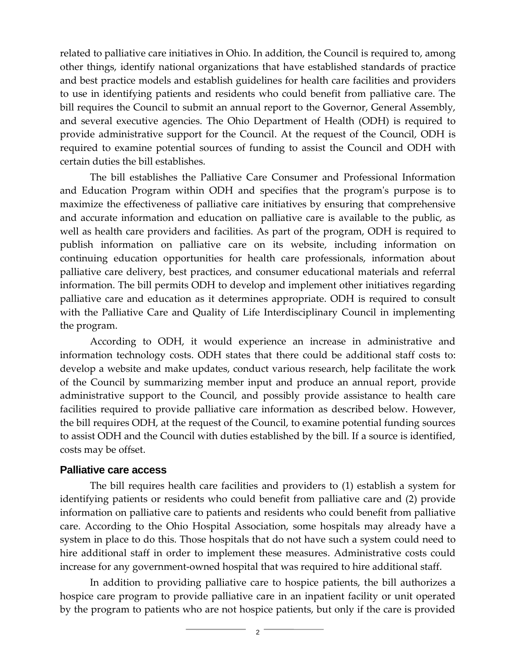related to palliative care initiatives in Ohio. In addition, the Council is required to, among other things, identify national organizations that have established standards of practice and best practice models and establish guidelines for health care facilities and providers to use in identifying patients and residents who could benefit from palliative care. The bill requires the Council to submit an annual report to the Governor, General Assembly, and several executive agencies. The Ohio Department of Health (ODH) is required to provide administrative support for the Council. At the request of the Council, ODH is required to examine potential sources of funding to assist the Council and ODH with certain duties the bill establishes.

The bill establishes the Palliative Care Consumer and Professional Information and Education Program within ODH and specifies that the program's purpose is to maximize the effectiveness of palliative care initiatives by ensuring that comprehensive and accurate information and education on palliative care is available to the public, as well as health care providers and facilities. As part of the program, ODH is required to publish information on palliative care on its website, including information on continuing education opportunities for health care professionals, information about palliative care delivery, best practices, and consumer educational materials and referral information. The bill permits ODH to develop and implement other initiatives regarding palliative care and education as it determines appropriate. ODH is required to consult with the Palliative Care and Quality of Life Interdisciplinary Council in implementing the program.

According to ODH, it would experience an increase in administrative and information technology costs. ODH states that there could be additional staff costs to: develop a website and make updates, conduct various research, help facilitate the work of the Council by summarizing member input and produce an annual report, provide administrative support to the Council, and possibly provide assistance to health care facilities required to provide palliative care information as described below. However, the bill requires ODH, at the request of the Council, to examine potential funding sources to assist ODH and the Council with duties established by the bill. If a source is identified, costs may be offset.

### **Palliative care access**

The bill requires health care facilities and providers to (1) establish a system for identifying patients or residents who could benefit from palliative care and (2) provide information on palliative care to patients and residents who could benefit from palliative care. According to the Ohio Hospital Association, some hospitals may already have a system in place to do this. Those hospitals that do not have such a system could need to hire additional staff in order to implement these measures. Administrative costs could increase for any government-owned hospital that was required to hire additional staff.

In addition to providing palliative care to hospice patients, the bill authorizes a hospice care program to provide palliative care in an inpatient facility or unit operated by the program to patients who are not hospice patients, but only if the care is provided